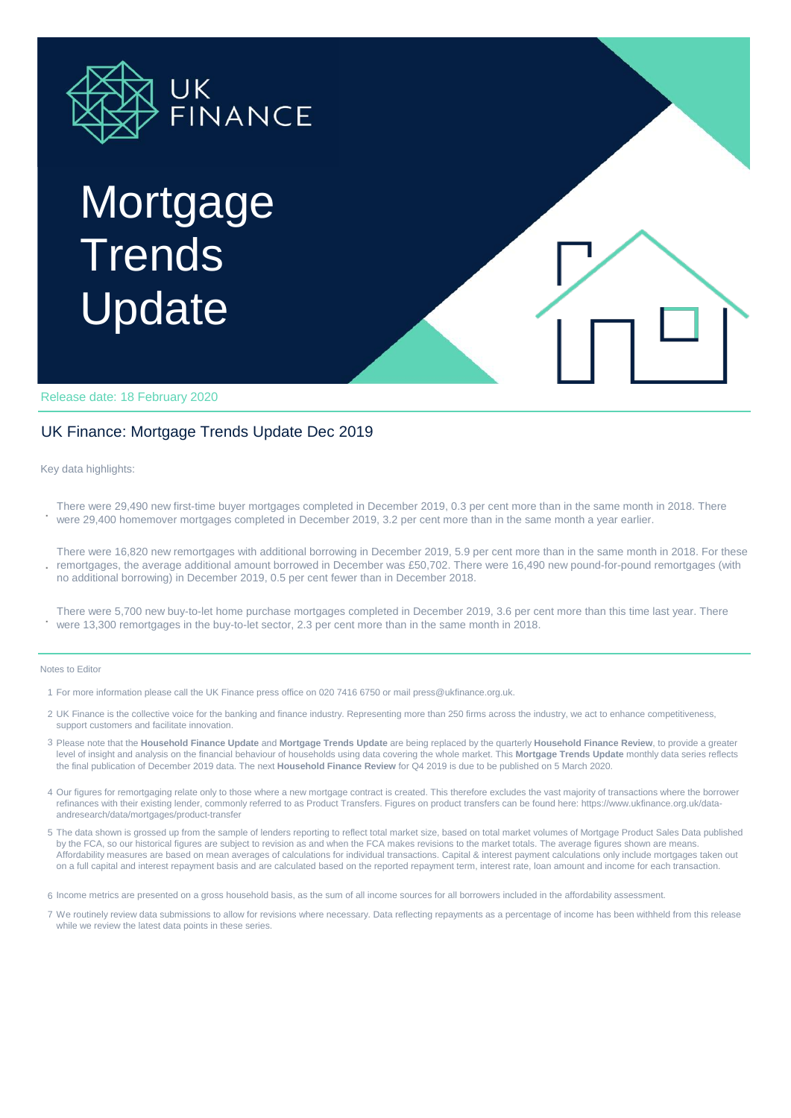

# Mortgage **Trends** Update

Release date: 18 February 2020

### UK Finance: Mortgage Trends Update Dec 2019

Key data highlights:

**.** There were 29,490 new first-time buyer mortgages completed in December 2019, 0.3 per cent more than in the same month in 2018. There were 29,400 homemover mortgages completed in December 2019, 3.2 per cent more than in the same month a year earlier.

**.** There were 16,820 new remortgages with additional borrowing in December 2019, 5.9 per cent more than in the same month in 2018. For these remortgages, the average additional amount borrowed in December was £50,702. There were 16,490 new pound-for-pound remortgages (with no additional borrowing) in December 2019, 0.5 per cent fewer than in December 2018.

**.** There were 5,700 new buy-to-let home purchase mortgages completed in December 2019, 3.6 per cent more than this time last year. There were 13,300 remortgages in the buy-to-let sector, 2.3 per cent more than in the same month in 2018.

#### Notes to Editor

- 1 For more information please call the UK Finance press office on 020 7416 6750 or mail press@ukfinance.org.uk.
- 2 UK Finance is the collective voice for the banking and finance industry. Representing more than 250 firms across the industry, we act to enhance competitiveness, support customers and facilitate innovation.
- 3 Please note that the **Household Finance Update** and **Mortgage Trends Update** are being replaced by the quarterly **Household Finance Review**, to provide a greater level of insight and analysis on the financial behaviour of households using data covering the whole market. This **Mortgage Trends Update** monthly data series reflects the final publication of December 2019 data. The next **Household Finance Review** for Q4 2019 is due to be published on 5 March 2020.
- 4 Our figures for remortgaging relate only to those where a new mortgage contract is created. This therefore excludes the vast majority of transactions where the borrower refinances with their existing lender, commonly referred to as Product Transfers. Figures on product transfers can be found here: https://www.ukfinance.org.uk/dataandresearch/data/mortgages/product-transfer
- 5 The data shown is grossed up from the sample of lenders reporting to reflect total market size, based on total market volumes of Mortgage Product Sales Data published by the FCA, so our historical figures are subject to revision as and when the FCA makes revisions to the market totals. The average figures shown are means. Affordability measures are based on mean averages of calculations for individual transactions. Capital & interest payment calculations only include mortgages taken out on a full capital and interest repayment basis and are calculated based on the reported repayment term, interest rate, loan amount and income for each transaction.

6 Income metrics are presented on a gross household basis, as the sum of all income sources for all borrowers included in the affordability assessment.

7 We routinely review data submissions to allow for revisions where necessary. Data reflecting repayments as a percentage of income has been withheld from this release while we review the latest data points in these series.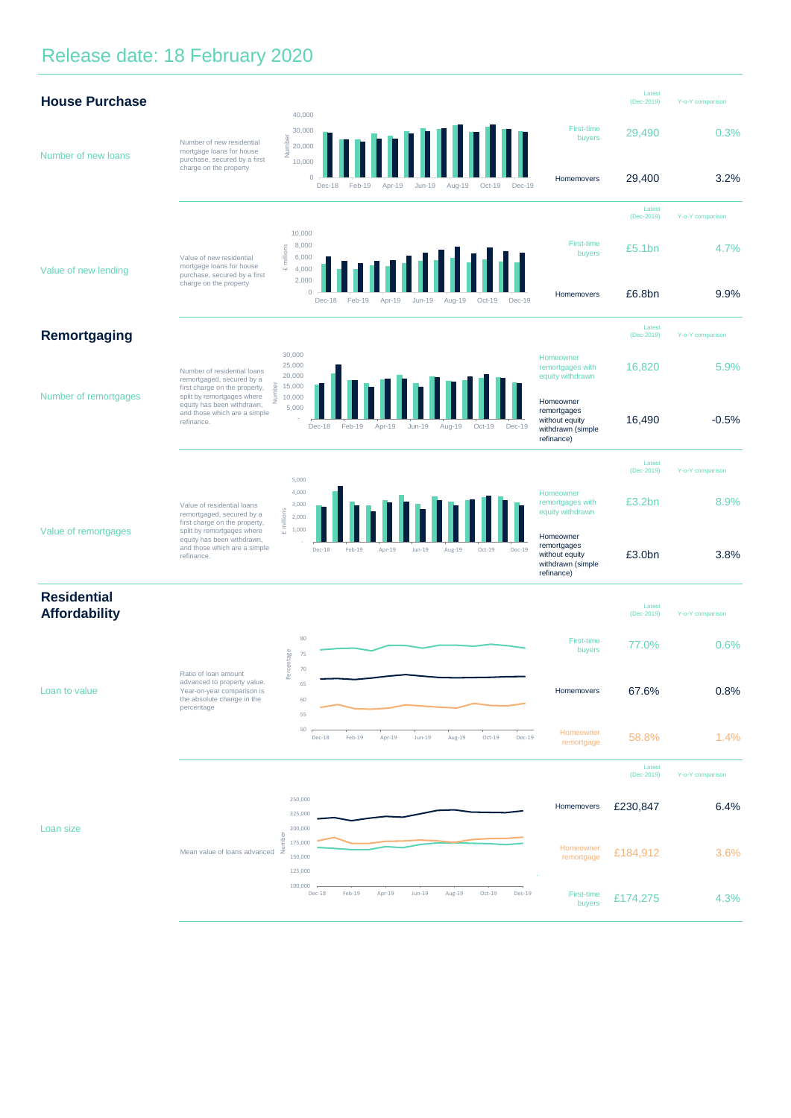# Release date: 18 February 2020

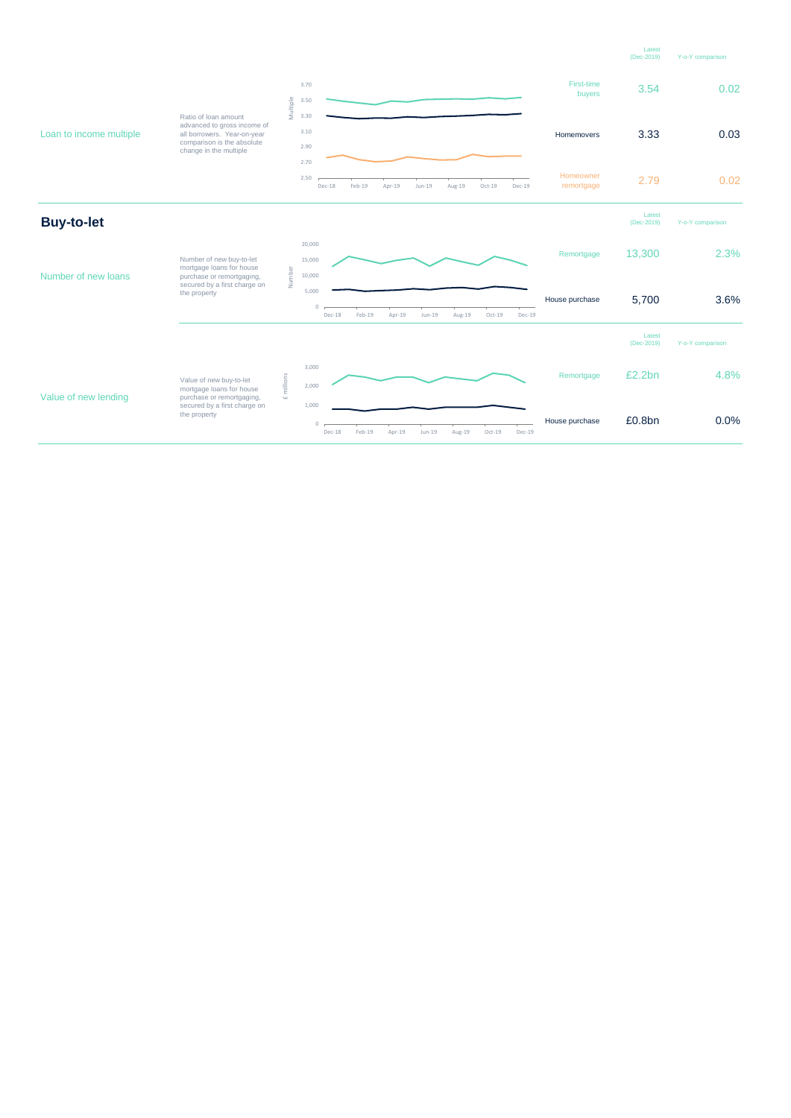